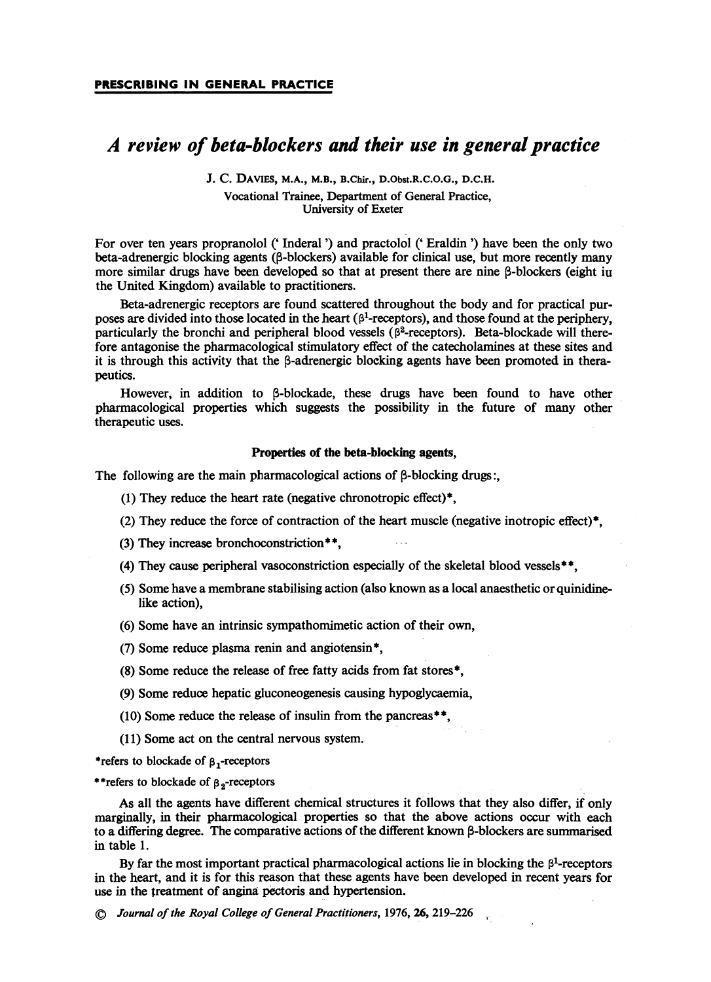# A review of beta-blockers and their use in general practice

J. C. Davies, m.a., m.b., B.chir., D.Obst.R.c.o.G., d.c.h.

Vocational Trainee, Department of General Practice, University of Exeter

For over ten years propranolol (' Inderal') and practolol (' Eraldin ') have been the only two beta-adrenergic blocking agents ((3-blockers) available for clinical use, but more recently many more similar drugs have been developed so that at present there are nine  $\beta$ -blockers (eight iu the United Kingdom) available to practitioners.

Beta-adrenergic receptors are found scattered throughout the body and for practical purposes are divided into those located in the heart ( $\beta$ <sup>1</sup>-receptors), and those found at the periphery, particularly the bronchi and peripheral blood vessels ( $\beta^2$ -receptors). Beta-blockade will therefore antagonise the pharmacological stimulatory effect of the catecholamines at these sites and it is through this activity that the  $\beta$ -adrenergic blocking agents have been promoted in therapeutics.

However, in addition to B-blockade, these drugs have been found to have other pharmacological properties which suggests the possibility in the future of many other therapeutic uses.

### Properties of the beta-blocking agents,

The following are the main pharmacological actions of  $\beta$ -blocking drugs:

- (1) They reduce the heart rate (negative chronotropic effect) $*$ .
- (2) They reduce the force of contraction of the heart muscle (negative inotropic effect)\*,
- (3) They increase bronchoconstriction\*\*,
- (4) They cause peripheral vasoconstriction especially of the skeletal blood vessels\*\*,
- (5) Some have a membrane stabilising action (also known as a local anaesthetic or quinidinelike action),
- (6) Some have an intrinsic sympathomimetic action of their own,
- (7) Some reduce plasma renin and angiofensin\*,
- (8) Some reduce the release of free fatty acids from fat stores\*,
- (9) Some reduce hepatic gluconeogenesis causing hypoglycaemia,
- (10) Some reduce the release of insulin from the pancreas\*\*,
- (11) Some act on the central nervous system.

\*refers to blockade of  $\beta_1$ -receptors

\*\*refers to blockade of  $\beta_2$ -receptors

As all the agents have different chemical structures it follows that they also differ, if only marginally, in their pharmacological properties so that the above actions occur with each to a differing degree. The comparative actions of the different known  $\beta$ -blockers are summarised in table 1.

By far the most important practical pharmacological actions lie in blocking the  $\beta^1$ -receptors in the heart, and it is for this reason that these agents have been developed in recent years for use in the treatment of angina pectoris and hypertension.

© Journal of the Royal College of General Practitioners, 1976, 26, 219-226 <sup>r</sup>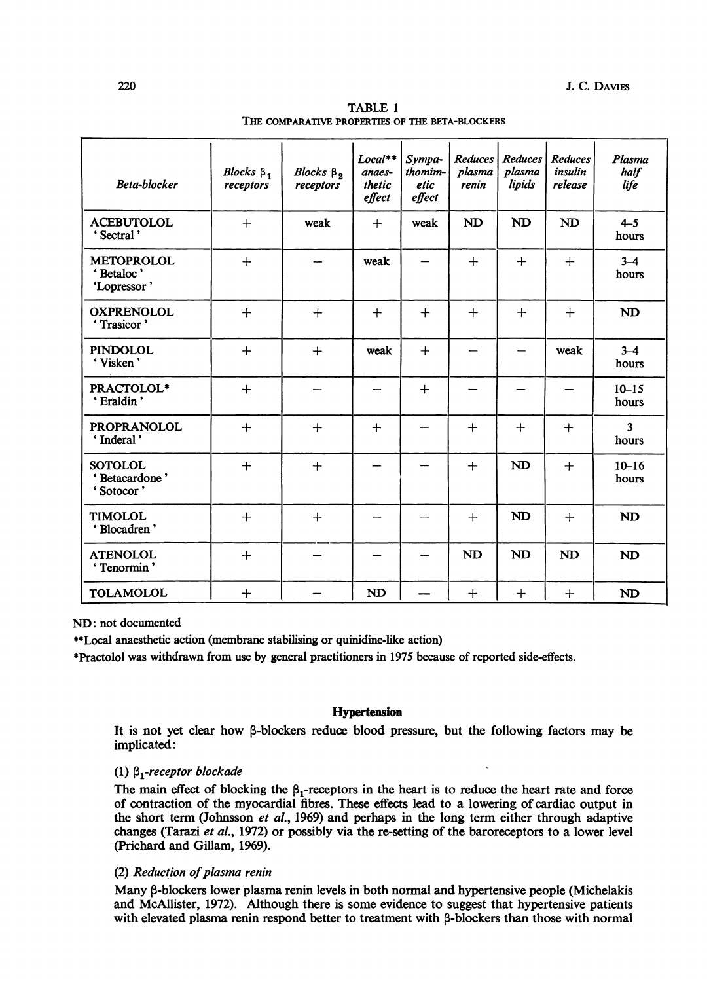| Beta-blocker                                  | Blocks $\beta_1$<br>receptors | Blocks $\beta_2$<br>receptors | $Local**$<br>anaes-<br>thetic<br>effect | Sympa-<br>thomim-<br>etic<br>effect | <b>Reduces</b><br>plasma<br>renin | <b>Reduces</b><br>plasma<br>lipids | <b>Reduces</b><br>insulin<br>release | Plasma<br>half<br>life           |
|-----------------------------------------------|-------------------------------|-------------------------------|-----------------------------------------|-------------------------------------|-----------------------------------|------------------------------------|--------------------------------------|----------------------------------|
| <b>ACEBUTOLOL</b><br>' Sectral'               | $+$                           | weak                          | $+$                                     | weak                                | <b>ND</b>                         | <b>ND</b>                          | <b>ND</b>                            | $4 - 5$<br>hours                 |
| <b>METOPROLOL</b><br>'Betaloc'<br>'Lopressor' | $+$                           |                               | weak                                    |                                     | $+$                               | $+$                                | $+$                                  | $3 - 4$<br>hours                 |
| <b>OXPRENOLOL</b><br>'Trasicor'               | $+$                           | $+$                           | $+$                                     | $+$                                 | $+$                               | $+$                                | $+$                                  | <b>ND</b>                        |
| <b>PINDOLOL</b><br>'Visken'                   | $+$                           | $+$                           | weak                                    | $+$                                 |                                   |                                    | weak                                 | $3 - 4$<br>hours                 |
| PRACTOLOL*<br>' Eraldin'                      | $+$                           |                               |                                         | $+$                                 |                                   |                                    |                                      | $10 - 15$<br>hours               |
| <b>PROPRANOLOL</b><br>'Inderal'               | $+$                           | $+$                           | $+$                                     |                                     | $+$                               | $+$                                | $^{+}$                               | $\overline{\mathbf{3}}$<br>hours |
| <b>SOTOLOL</b><br>'Betacardone'<br>'Sotocor'  | $+$                           | $+$                           |                                         |                                     | $+$                               | <b>ND</b>                          | $+$                                  | $10 - 16$<br>hours               |
| <b>TIMOLOL</b><br>'Blocadren'                 | $+$                           | $^{+}$                        |                                         |                                     | $+$                               | <b>ND</b>                          | $+$                                  | <b>ND</b>                        |
| <b>ATENOLOL</b><br>'Tenormin'                 | $+$                           |                               |                                         |                                     | <b>ND</b>                         | <b>ND</b>                          | <b>ND</b>                            | <b>ND</b>                        |
| <b>TOLAMOLOL</b>                              | $+$                           |                               | <b>ND</b>                               |                                     | $\ddot{}$                         | $+$                                | $^{+}$                               | <b>ND</b>                        |

|                                                 | TABLE 1 |  |  |
|-------------------------------------------------|---------|--|--|
| THE COMPARATIVE PROPERTIES OF THE BETA-BLOCKERS |         |  |  |

ND: not documented

\*\*Local anaesthetic action (membrane stabilising or quinidine-like action)

?Practolol was withdrawn from use by general practitioners in 1975 because of reported side-effects.

# Hypertension

It is not yet clear how  $\beta$ -blockers reduce blood pressure, but the following factors may be implicated:

# (1)  $\beta_1$ -receptor blockade

The main effect of blocking the  $\beta_1$ -receptors in the heart is to reduce the heart rate and force of contraction of the myocardial fibres. These effects lead to a lowering of cardiac output in the short term (Johnsson et al., 1969) and perhaps in the long term either through adaptive changes (Tarazi et al., 1972) or possibly via the re-setting of the baroreceptors to a lower level (Prichard and Gillam, 1969).

# (2) Reduction of plasma renin

Many  $\beta$ -blockers lower plasma renin levels in both normal and hypertensive people (Michelakis and McAllister, 1972). Although there is some evidence to suggest that hypertensive patients with elevated plasma renin respond better to treatment with  $\beta$ -blockers than those with normal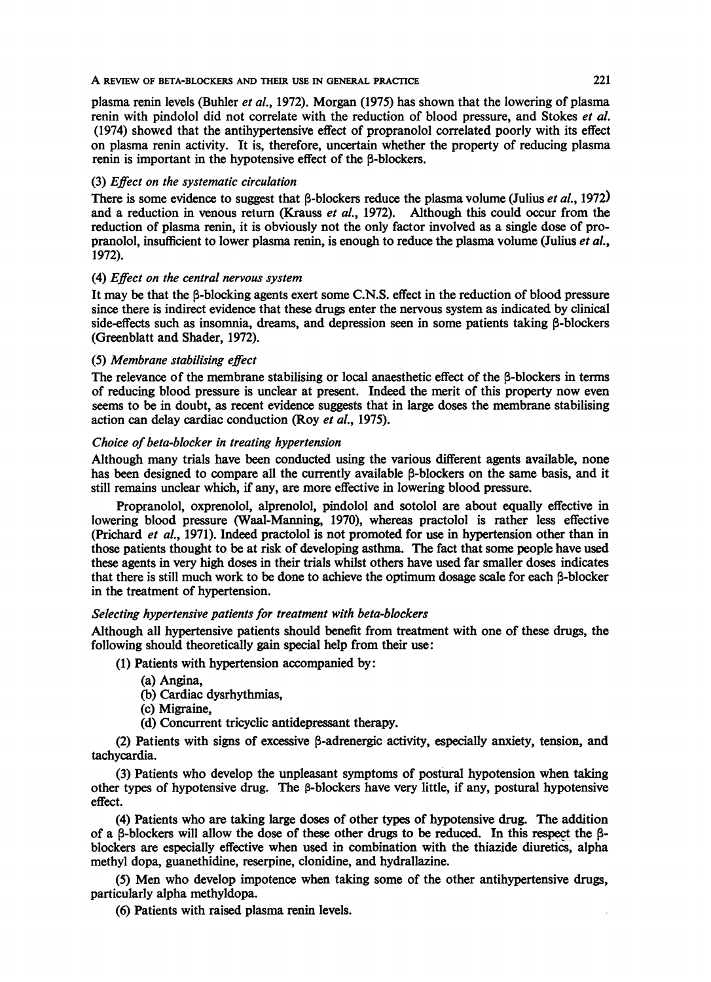#### A REVIEW OF BETA-BLOCKERS AND THEIR USE IN GENERAL PRACTICE

plasma renin levels (Buhler *et al.*, 1972). Morgan (1975) has shown that the lowering of plasma renin with pindolol did not correlate with the reduction of blood pressure, and Stokes et al. (1974) showed that the antihypertensive effect of propranolol correlated poorly with its effect on plasma renin activity. It is, therefore, uncertain whether the property of reducing plasma renin is important in the hypotensive effect of the B-blockers.

# (3) Effect on the systematic circulation

There is some evidence to suggest that  $\beta$ -blockers reduce the plasma volume (Julius *et al.*, 1972) and a reduction in venous return (Krauss *et al.*, 1972). Although this could occur from the reduction of plasma renin, it is obviously not the only factor involved as a single dose of propranolol, insufficient to lower plasma renin, is enough to reduce the plasma volume (Julius et al., 1972).

# (4) Effect on the central nervous system

It may be that the  $\beta$ -blocking agents exert some C.N.S. effect in the reduction of blood pressure since there is indirect evidence that these drugs enter the nervous system as indicated by clinical side-effects such as insomnia, dreams, and depression seen in some patients taking  $\beta$ -blockers (Greenblatt and Shader, 1972).

# (5) Membrane stabilising effect

The relevance of the membrane stabilising or local anaesthetic effect of the 8-blockers in terms of reducing blood pressure is unclear at present. Indeed the merit of this property now even seems to be in doubt, as recent evidence suggests that in large doses the membrane stabilising action can delay cardiac conduction (Roy et al, 1975).

# Choice of beta-blocker in treating hypertension

Although many trials have been conducted using the various different agents available, none has been designed to compare all the currently available  $\beta$ -blockers on the same basis, and it still remains unclear which, if any, are more effective in lowering blood pressure.

Propranolol, oxprenolol, alprenolol, pindolol and sotolol are about equally effective in lowering blood pressure (Waal-Manning, 1970), whereas practolol is rather less effective (Prichard et al, 1971). Indeed practolol is not promoted for use in hypertension other than in those patients thought to be at risk of developing asthma. The fact that some people have used these agents in very high doses in their trials whilst others have used far smaller doses indicates that there is still much work to be done to achieve the optimum dosage scale for each  $\beta$ -blocker in the treatment of hypertension.

## Selecting hypertensive patients for treatment with beta-blockers

Although all hypertensive patients should benefit from treatment with one of these drugs, the following should theoretically gain special help from their use:

(1) Patients with hypertension accompanied by:

- (a) Angina,
- (b) Cardiac dysrhythmias,
- (c) Migraine,
- (d) Concurrent tricyclic antidepressant therapy.

(2) Patients with signs of excessive  $\beta$ -adrenergic activity, especially anxiety, tension, and tachycardia.

(3) Patients who develop the unpleasant symptoms of postural hypotension when taking other types of hypotensive drug. The  $\beta$ -blockers have very little, if any, postural hypotensive effect.

(4) Patients who are taking large doses of other types of hypotensive drug. The addition of a  $\beta$ -blockers will allow the dose of these other drugs to be reduced. In this respect the  $\beta$ blockers are especially effective when used in combination with the thiazide diuretics, alpha methyl dopa, guanethidine, reserpine, clonidine, and hydrallazine.

(5) Men who develop impotence when taking some of the other antihypertensive drugs, particularly alpha methyldopa.

(6) Patients with raised plasma renin levels.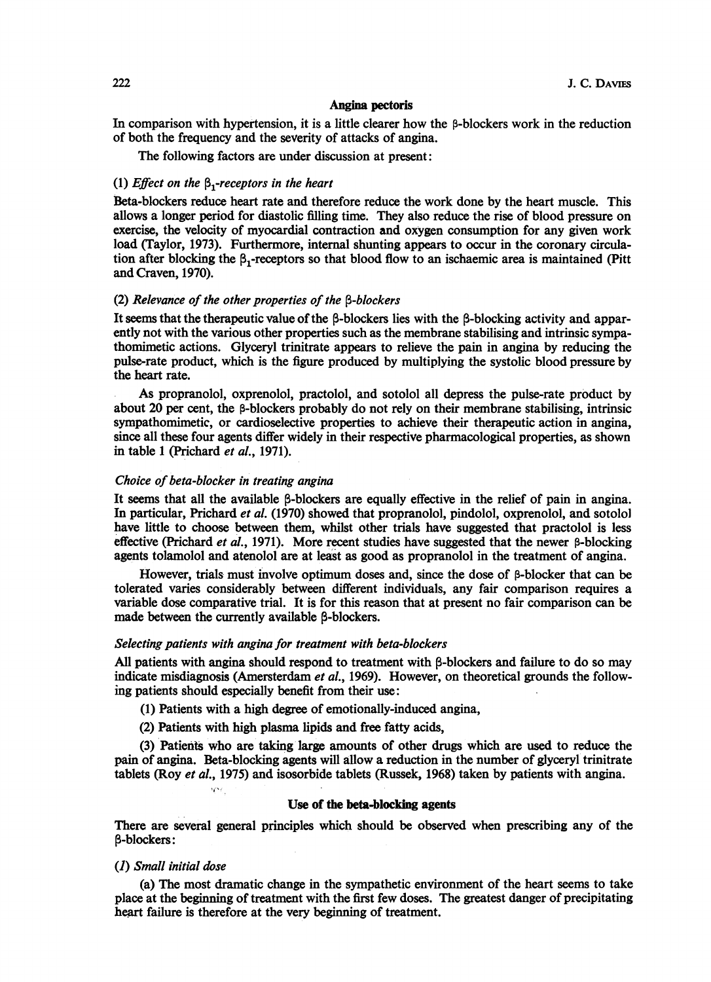#### Angina pectoris

In comparison with hypertension, it is a little clearer how the  $\beta$ -blockers work in the reduction of both the frequency and the severity of attacks of angina.

The following factors are under discussion at present:

## (1) Effect on the  $\beta$ -receptors in the heart

Beta-blockers reduce heart rate and therefore reduce the work done by the heart muscle. This allows a longer period for diastolic filling time. They also reduce the rise of blood pressure on exercise, the velocity of myocardial contraction and oxygen consumption for any given work load (Taylor, 1973). Furthermore, internal shunting appears to occur in the coronary circulation after blocking the  $\beta$ -receptors so that blood flow to an ischaemic area is maintained (Pitt and Craven, 1970).

# (2) Relevance of the other properties of the  $\beta$ -blockers

It seems that the therapeutic value of the  $\beta$ -blockers lies with the  $\beta$ -blocking activity and apparently not with the various other properties such as the membrane stabilising and intrinsic sympathomimetic actions. Glyceryl trinitrate appears to relieve the pain in angina by reducing the pulse-rate product, which is the figure produced by multiplying the systolic blood pressure by the heart rate.

As propranolol, oxprenolol, practolol, and sotolol all depress the pulse-rate product by about 20 per cent, the  $\beta$ -blockers probably do not rely on their membrane stabilising, intrinsic sympathomimetic, or cardioselective properties to achieve their therapeutic action in angina, since all these four agents differ widely in their respective pharmacological properties, as shown in table 1 (Prichard et al., 1971).

## Choice of beta-blocker in treating angina

It seems that all the available  $\beta$ -blockers are equally effective in the relief of pain in angina. In particular, Prichard et al. (1970) showed that propranolol, pindolol, oxprenolol, and sotolol have little to choose between them, whilst other trials have suggested that practolol is less effective (Prichard *et al.*, 1971). More recent studies have suggested that the newer  $\beta$ -blocking agents tolamolol and atenolol are at least as good as propranolol in the treatment of angina.

However, trials must involve optimum doses and, since the dose of  $\beta$ -blocker that can be tolerated varies considerably between different individuals, any fair comparison requires a variable dose comparative trial. It is for this reason that at present no fair comparison can be made between the currently available  $\beta$ -blockers.

### Selecting patients with angina for treatment with beta-blockers

All patients with angina should respond to treatment with  $\beta$ -blockers and failure to do so may indicate misdiagnosis (Amersterdam *et al.*, 1969). However, on theoretical grounds the following patients should especially benefit from their use:

(1) Patients with a high degree of emotionally-induced angina,

(2) Patients with high plasma lipids and free fatty acids,

(3) Patients who are taking large amounts of other drugs which are used to reduce the pain of angina. Beta-blocking agents will allow a reduction in the number of glyceryl trinitrate tablets (Roy et al., 1975) and isosorbide tablets (Russek, 1968) taken by patients with angina.

### Use of the beta-blocking agents

There are several general principles which should be observed when prescribing any of the P-blockers:

### (1) Small initial dose

 $2000$ 

(a) The most dramatic change in the sympathetic environment of the heart seems to take place at the beginning of treatment with the first few doses. The greatest danger of precipitating heart failure is therefore at the very beginning of treatment.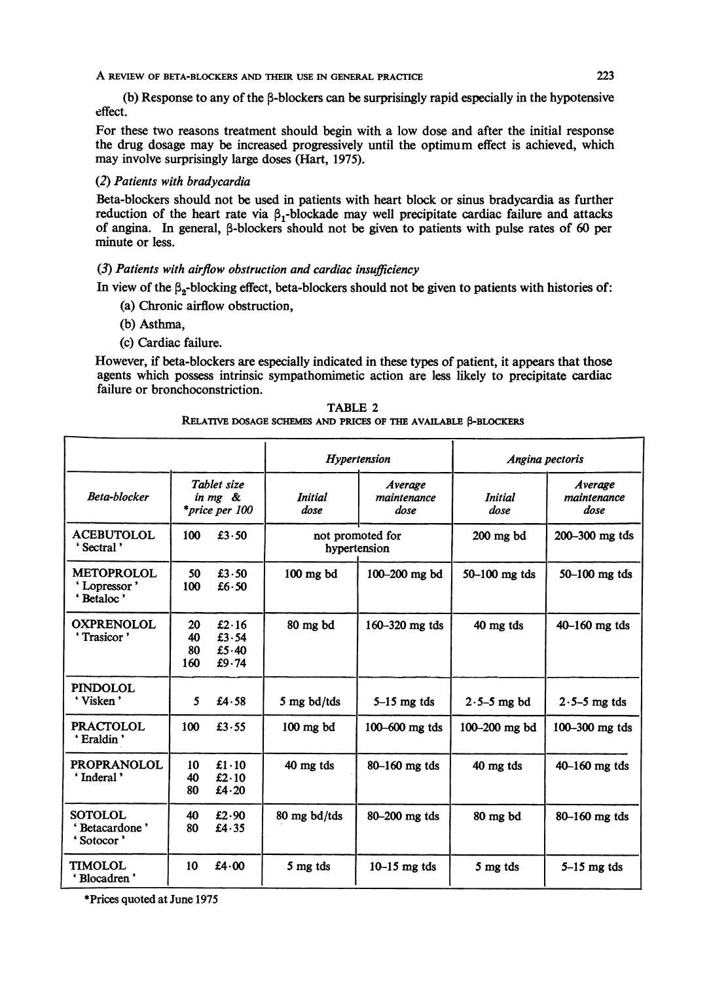A REVIEW OF BETA-BLOCKERS AND THEIR USE IN GENERAL PRACTICE <sup>223</sup>

(b) Response to any of the  $\beta$ -blockers can be surprisingly rapid especially in the hypotensive effect.

For these two reasons treatment should begin with a low dose and after the initial response the drug dosage may be increased progressively until the optimum effect is achieved, which may involve surprisingly large doses (Hart, 1975).

# (2) Patients with bradycardia

Beta-blockers should not be used in patients with heart block or sinus bradycardia as further reduction of the heart rate via  $\beta_1$ -blockade may well precipitate cardiac failure and attacks of angina. In general, p-blockers should not be given to patients with pulse rates of 60 per minute or less.

# (3) Patients with airflow obstruction and cardiac insufficiency

In view of the  $\beta_2$ -blocking effect, beta-blockers should not be given to patients with histories of:

- (a) Chronic airflow obstruction,
- (b) Asthma,
- (c) Cardiac failure.

However, if beta-blockers are especially indicated in these types of patient, it appears that those agents which possess intrinsic sympathomimetic action are less likely to precipitate cardiac failure or bronchoconstriction.

| TABLE 2                                                        |  |  |  |  |  |  |  |
|----------------------------------------------------------------|--|--|--|--|--|--|--|
| RELATIVE DOSAGE SCHEMES AND PRICES OF THE AVAILABLE β-BLOCKERS |  |  |  |  |  |  |  |

|                                                     |                       |                                                 |                 | Hypertension                     | Angina pectoris        |                                |  |
|-----------------------------------------------------|-----------------------|-------------------------------------------------|-----------------|----------------------------------|------------------------|--------------------------------|--|
| Beta-blocker                                        |                       | Tablet size<br>in mg &<br><i>*price per 100</i> | Initial<br>dose | Average<br>maintenance<br>dose   | <i>Initial</i><br>dose | Average<br>maintenance<br>dose |  |
| <b>ACEBUTOLOL</b><br>Sectral'                       | 100                   | £3.50                                           |                 | not promoted for<br>hypertension | $200$ mg $bd$          | 200-300 mg tds                 |  |
| <b>METOPROLOL</b><br>'Lopressor'<br>'Betaloc'       | 50<br>100             | £3.50<br>£6 $\cdot$ 50                          | $100$ mg $bd$   | 100-200 mg bd                    | 50-100 mg tds          | 50-100 mg tds                  |  |
| <b>OXPRENOLOL</b><br>'Trasicor'                     | 20<br>40<br>80<br>160 | £ $2.16$<br>£3.54<br>£5.40<br>£ $9.74$          | 80 mg bd        | 160-320 mg tds                   | 40 mg tds              | $40 - 160$ mg tds              |  |
| <b>PINDOLOL</b><br>'Visken'                         | 5                     | £4.58                                           | 5 mg bd/tds     | $5-15$ mg tds                    | $2.5-5$ mg bd          | $2.5-5$ mg tds                 |  |
| PRACTOLOL<br>'Eraldin'                              | 100                   | £3.55                                           | $100$ mg $bd$   | 100-600 mg tds                   | 100-200 mg bd          | 100-300 mg tds                 |  |
| <b>PROPRANOLOL</b><br>'Inderal'                     | 10<br>40<br>80        | £1.10<br>£2.10<br>£4.20                         | 40 mg tds       | 80-160 mg tds                    | 40 mg tds              | 40-160 mg tds                  |  |
| <b>SOTOLOL</b><br><b>Betacardone</b> '<br>'Sotocor' | 40<br>80              | £2.90<br>£4.35                                  | 80 mg bd/tds    | 80-200 mg tds                    | 80 mg bd               | 80-160 mg tds                  |  |
| <b>TIMOLOL</b><br>'Blocadren'                       | 10                    | £4 $\cdot$ 00                                   | 5 mg tds        | $10-15$ mg tds                   | 5 mg tds               | $5-15$ mg tds                  |  |

?Prices quoted at June 1975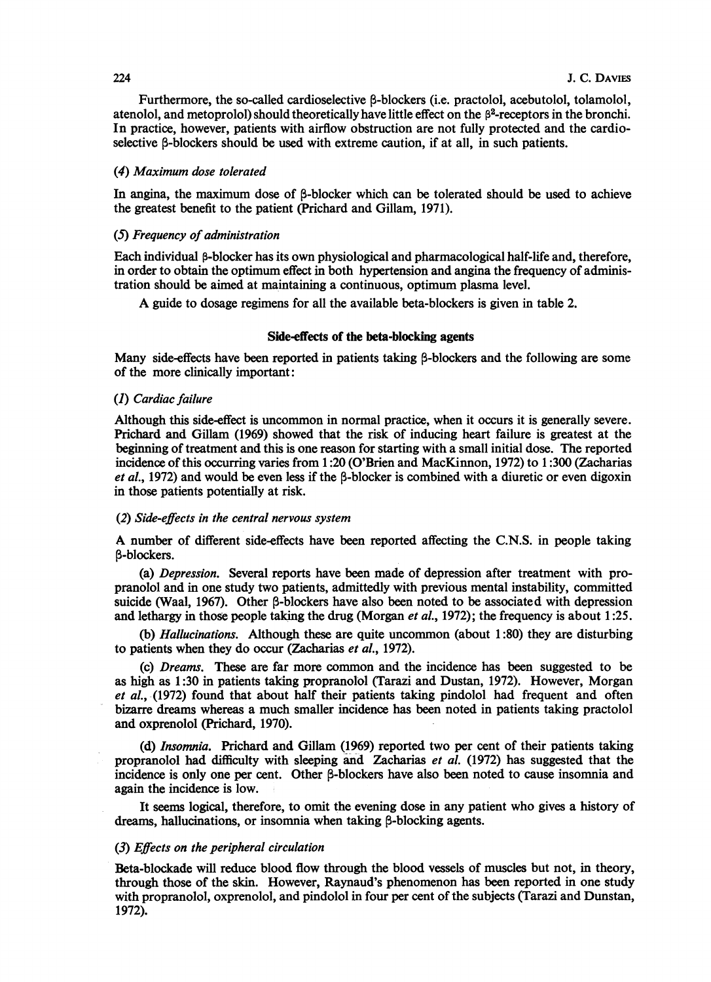Furthermore, the so-called cardioselective  $\beta$ -blockers (i.e. practolol, acebutolol, tolamolol, atenolol, and metoprolol) should theoretically have little effect on the p2-receptors in the bronchi. In practice, however, patients with airflow obstruction are not fully protected and the cardioselective B-blockers should be used with extreme caution, if at all, in such patients.

### (4) Maximum dose tolerated

In angina, the maximum dose of B-blocker which can be tolerated should be used to achieve the greatest benefit to the patient (Prichard and Gillam, 1971).

# (5) Frequency of administration

Each individual β-blocker has its own physiological and pharmacological half-life and, therefore, in order to obtain the optimum effect in both hypertension and angina the frequency of administration should be aimed at maintaining a continuous, optimum plasma level.

A guide to dosage regimens for all the available beta-blockers is given in table 2.

### Side-effects of the beta-blocking agents

Many side-effects have been reported in patients taking B-blockers and the following are some of the more clinically important:

## (1) Cardiac failure

Although this side-effect is uncommon in normal practice, when it occurs it is generally severe. Prichard and Gillam (1969) showed that the risk of inducing heart failure is greatest at the beginning of treatment and this is one reason for starting with a small initial dose. The reported incidence of this occurring varies from 1:20 (O'Brien and MacKinnon, 1972) to 1:300 (Zacharias et al., 1972) and would be even less if the  $\beta$ -blocker is combined with a diuretic or even digoxin in those patients potentially at risk.

### (2) Side-effects in the central nervous system

A number of different side-effects have been reported affecting the C.N.S. in people taking B-blockers.

(a) Depression. Several reports have been made of depression after treatment with propranolol and in one study two patients, admittedly with previous mental instability, committed suicide (Waal, 1967). Other B-blockers have also been noted to be associated with depression and lethargy in those people taking the drug (Morgan *et al.*, 1972); the frequency is about 1:25.

(b) Hallucinations. Although these are quite uncommon (about 1:80) they are disturbing to patients when they do occur (Zacharias et al, 1972).

(c) Dreams. These are far more common and the incidence has been suggested to be as high as 1:30 in patients taking propranolol (Tarazi and Dustan, 1972). However, Morgan et al, (1972) found that about half their patients taking pindolol had frequent and often bizarre dreams whereas a much smaller incidence has been noted in patients taking practolol and oxprenolol (Prichard, 1970).

(d) Insomnia. Prichard and Gillam (1969) reported two per cent of their patients taking propranolol had difficulty with sleeping and Zacharias et al. (1972) has suggested that the incidence is only one per cent. Other  $\beta$ -blockers have also been noted to cause insomnia and again the incidence is low.

It seems logical, therefore, to omit the evening dose in any patient who gives a history of dreams, hallucinations, or insomnia when taking  $\beta$ -blocking agents.

# (3) Effects on the peripheral circulation

Beta-blockade will reduce blood flow through the blood vessels of muscles but not, in theory, through those of the skin. However, Raynaud's phenomenon has been reported in one study with propranolol, oxprenolol, and pindolol in four per cent of the subjects (Tarazi and Dunstan, 1972).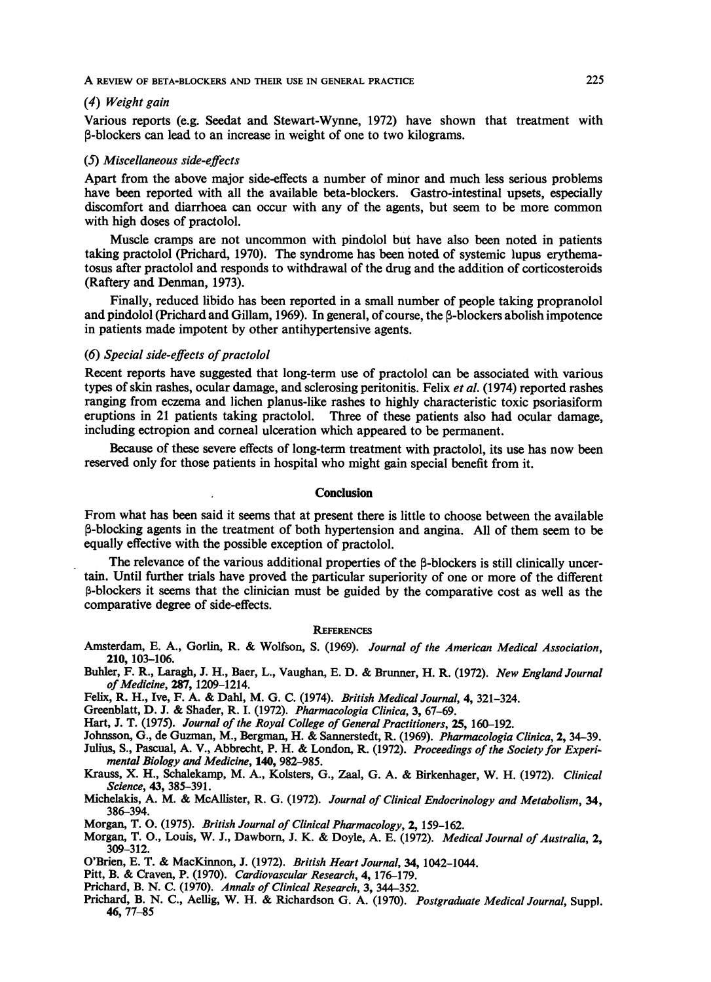### (4) Weight gain

Various reports (e.g. Seedat and Stewart-Wynne, 1972) have shown that treatment with n-blockers can lead to an increase in weight of one to two kilograms.

### (5) Miscellaneous side-effects

Apart from the above major side-effects a number of minor and much less serious problems have been reported with all the available beta-blockers. Gastro-intestinal upsets, especially discomfort and diarrhoea can occur with any of the agents, but seem to be more common with high doses of practolol.

Muscle cramps are not uncommon with pindolol but have also been noted in patients taking practolol (Prichard, 1970). The syndrome has been noted of systemic lupus erythematosus after practolol and responds to withdrawal of the drug and the addition of corticosteroids (Raftery and Denman, 1973).

Finally, reduced libido has been reported in a small number of people taking propranolol and pindolol (Prichard and Gillam, 1969). In general, of course, the  $\beta$ -blockers abolish impotence in patients made impotent by other antihypertensive agents.

### $(6)$  Special side-effects of practolol

Recent reports have suggested that long-term use of practolol can be associated with various types of skin rashes, ocular damage, and sclerosing peritonitis. Felix *et al.* (1974) reported rashes ranging from eczema and lichen planus-like rashes to highly characteristic toxic psoriasiform eruptions in 21 patients taking practolol. Three of these patients also had ocular damage, including ectropion and corneal ulceration which appeared to be permanent.

Because of these severe effects of long-term treatment with practolol, its use has now been reserved only for those patients in hospital who might gain special benefit from it.

### Conclusion

From what has been said it seems that at present there is little to choose between the available P-blocking agents in the treatment of both hypertension and angina. All of them seem to be equally effective with the possible exception of practolol.

The relevance of the various additional properties of the  $\beta$ -blockers is still clinically uncertain. Until further trials have proved the particular superiority of one or more of the different p-blockers it seems that the clinician must be guided by the comparative cost as well as the comparative degree of side-effects.

## **REFERENCES**

- Amsterdam, E. A., Gorlin, R. & Wolfson, S. (1969). Journal of the American Medical Association, 210, 103-106.
- Buhler, F. R., Laragh, J. H., Baer, L., Vaughan, E. D. & Brunner, H. R. (1972). New England Journal of Medicine, 287, 1209-1214.

Felix, R. H., Ive, F. A. & Dahl, M. G. C. (1974). British Medical Journal, 4, 321-324.

Greenblatt, D. J. & Shader, R. I. (1972). Pharmacologia Clinica, 3, 67-69.

Hart, J. T. (1975). Journal of the Royal College of General Practitioners, 25, 160-192.

Johnsson, G., de Guzman, M., Bergman, H. & Sannerstedt, R. (1969). Pharmacologia Clinica, 2, 34-39.

Julius, S., Pascual, A. V., Abbrecht, P. H. & London, R. (1972). Proceedings of the Society for Experimental Biology and Medicine, 140, 982-985.

Krauss, X. H., Schalekamp, M. A., Kolsters, G., Zaal, G. A. & Birkenhager, W. H. (1972). Clinical Science, 43, 385-391.

- Michelakis, A. M. & McAllister, R. G. (1972). Journal of Clinical Endocrinology and Metabolism, 34, 386-394.
- Morgan, T. 0. (1975). British Journal of Clinical Pharmacology, 2, 159-162.
- Morgan, T. O., Louis, W. J., Dawborn, J. K. & Doyle, A. E. (1972). Medical Journal of Australia, 2, 309-312.
- <sup>O</sup>'Brien, E. T. & MacKinnon, J. (1972). British Heart Journal, 34, 1042-1044.
- Pitt, B. & Craven, P. (1970). Cardiovascular Research, 4, 176-179.
- Prichard, B. N. C. (1970). Annals of Clinical Research, 3, 344-352.
- Prichard, B. N. C., Aellig, W. H. & Richardson G. A. (1970). Postgraduate Medical Journal, Suppl. 46, 77-85